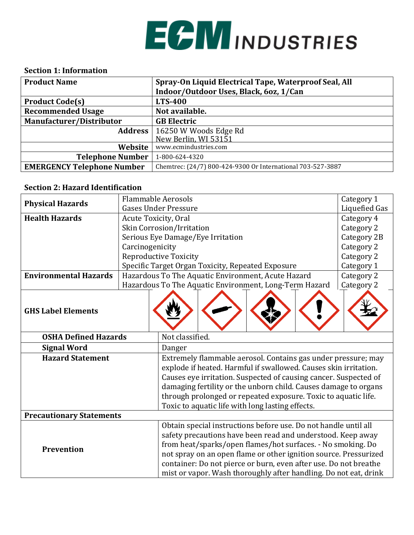

#### **Section 1: Information**

| <b>Product Name</b>               | Spray-On Liquid Electrical Tape, Waterproof Seal, All       |
|-----------------------------------|-------------------------------------------------------------|
|                                   | Indoor/Outdoor Uses, Black, 60z, 1/Can                      |
| <b>Product Code(s)</b>            | <b>LTS-400</b>                                              |
| <b>Recommended Usage</b>          | Not available.                                              |
| Manufacturer/Distributor          | <b>GB Electric</b>                                          |
| Address                           | 16250 W Woods Edge Rd                                       |
|                                   | New Berlin, WI 53151                                        |
| Website                           | www.ecmindustries.com                                       |
| <b>Telephone Number</b>           | 1-800-624-4320                                              |
| <b>EMERGENCY Telephone Number</b> | Chemtrec: (24/7) 800-424-9300 Or International 703-527-3887 |

#### **Section 2: Hazard Identification**

| <b>Flammable Aerosols</b>       |                             |                                                                                                                                                                                                                                                                                                                                                                                                           |                                                        |                      |  | Category 1  |
|---------------------------------|-----------------------------|-----------------------------------------------------------------------------------------------------------------------------------------------------------------------------------------------------------------------------------------------------------------------------------------------------------------------------------------------------------------------------------------------------------|--------------------------------------------------------|----------------------|--|-------------|
| <b>Physical Hazards</b>         | <b>Gases Under Pressure</b> |                                                                                                                                                                                                                                                                                                                                                                                                           |                                                        | <b>Liquefied Gas</b> |  |             |
| <b>Health Hazards</b>           |                             | Acute Toxicity, Oral                                                                                                                                                                                                                                                                                                                                                                                      |                                                        |                      |  |             |
|                                 |                             | Skin Corrosion/Irritation                                                                                                                                                                                                                                                                                                                                                                                 |                                                        |                      |  | Category 2  |
|                                 |                             |                                                                                                                                                                                                                                                                                                                                                                                                           | Serious Eye Damage/Eye Irritation                      |                      |  | Category 2B |
|                                 | Carcinogenicity             |                                                                                                                                                                                                                                                                                                                                                                                                           |                                                        |                      |  | Category 2  |
|                                 |                             | <b>Reproductive Toxicity</b>                                                                                                                                                                                                                                                                                                                                                                              |                                                        |                      |  | Category 2  |
|                                 |                             |                                                                                                                                                                                                                                                                                                                                                                                                           | Specific Target Organ Toxicity, Repeated Exposure      |                      |  | Category 1  |
| <b>Environmental Hazards</b>    |                             |                                                                                                                                                                                                                                                                                                                                                                                                           | Hazardous To The Aquatic Environment, Acute Hazard     |                      |  | Category 2  |
|                                 |                             |                                                                                                                                                                                                                                                                                                                                                                                                           | Hazardous To The Aquatic Environment, Long-Term Hazard |                      |  | Category 2  |
| <b>GHS Label Elements</b>       |                             |                                                                                                                                                                                                                                                                                                                                                                                                           |                                                        |                      |  |             |
| <b>OSHA Defined Hazards</b>     | Not classified.             |                                                                                                                                                                                                                                                                                                                                                                                                           |                                                        |                      |  |             |
| <b>Signal Word</b>              | Danger                      |                                                                                                                                                                                                                                                                                                                                                                                                           |                                                        |                      |  |             |
| <b>Hazard Statement</b>         |                             | Extremely flammable aerosol. Contains gas under pressure; may<br>explode if heated. Harmful if swallowed. Causes skin irritation.<br>Causes eye irritation. Suspected of causing cancer. Suspected of<br>damaging fertility or the unborn child. Causes damage to organs<br>through prolonged or repeated exposure. Toxic to aquatic life.<br>Toxic to aquatic life with long lasting effects.            |                                                        |                      |  |             |
| <b>Precautionary Statements</b> |                             |                                                                                                                                                                                                                                                                                                                                                                                                           |                                                        |                      |  |             |
| Prevention                      |                             | Obtain special instructions before use. Do not handle until all<br>safety precautions have been read and understood. Keep away<br>from heat/sparks/open flames/hot surfaces. - No smoking. Do<br>not spray on an open flame or other ignition source. Pressurized<br>container: Do not pierce or burn, even after use. Do not breathe<br>mist or vapor. Wash thoroughly after handling. Do not eat, drink |                                                        |                      |  |             |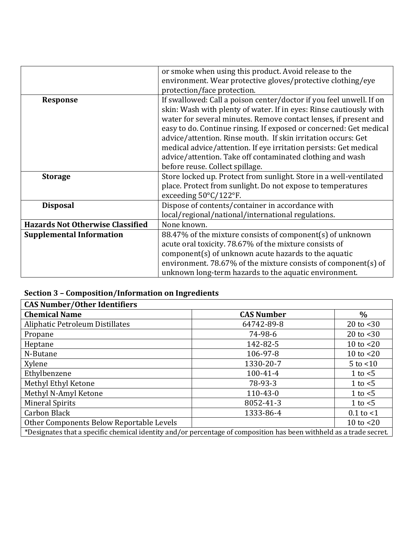|                                         | or smoke when using this product. Avoid release to the              |  |  |  |  |
|-----------------------------------------|---------------------------------------------------------------------|--|--|--|--|
|                                         | environment. Wear protective gloves/protective clothing/eye         |  |  |  |  |
|                                         | protection/face protection.                                         |  |  |  |  |
| <b>Response</b>                         | If swallowed: Call a poison center/doctor if you feel unwell. If on |  |  |  |  |
|                                         | skin: Wash with plenty of water. If in eyes: Rinse cautiously with  |  |  |  |  |
|                                         | water for several minutes. Remove contact lenses, if present and    |  |  |  |  |
|                                         | easy to do. Continue rinsing. If exposed or concerned: Get medical  |  |  |  |  |
|                                         | advice/attention. Rinse mouth. If skin irritation occurs: Get       |  |  |  |  |
|                                         | medical advice/attention. If eye irritation persists: Get medical   |  |  |  |  |
|                                         | advice/attention. Take off contaminated clothing and wash           |  |  |  |  |
|                                         | before reuse. Collect spillage.                                     |  |  |  |  |
| <b>Storage</b>                          | Store locked up. Protect from sunlight. Store in a well-ventilated  |  |  |  |  |
|                                         | place. Protect from sunlight. Do not expose to temperatures         |  |  |  |  |
|                                         | exceeding $50^{\circ}$ C/122°F.                                     |  |  |  |  |
| <b>Disposal</b>                         | Dispose of contents/container in accordance with                    |  |  |  |  |
|                                         | local/regional/national/international regulations.                  |  |  |  |  |
| <b>Hazards Not Otherwise Classified</b> | None known.                                                         |  |  |  |  |
| <b>Supplemental Information</b>         | 88.47% of the mixture consists of component(s) of unknown           |  |  |  |  |
|                                         | acute oral toxicity. 78.67% of the mixture consists of              |  |  |  |  |
|                                         | component(s) of unknown acute hazards to the aquatic                |  |  |  |  |
|                                         | environment. 78.67% of the mixture consists of component(s) of      |  |  |  |  |
|                                         | unknown long-term hazards to the aquatic environment.               |  |  |  |  |

# **Section 3 – Composition/Information on Ingredients**

| <b>CAS Number/Other Identifiers</b>                                                                                 |                   |                |  |
|---------------------------------------------------------------------------------------------------------------------|-------------------|----------------|--|
| <b>Chemical Name</b>                                                                                                | <b>CAS Number</b> | $\%$           |  |
| Aliphatic Petroleum Distillates                                                                                     | 64742-89-8        | 20 to $<$ 30   |  |
| Propane                                                                                                             | 74-98-6           | 20 to $<$ 30   |  |
| Heptane                                                                                                             | 142-82-5          | 10 to $<$ 20   |  |
| N-Butane                                                                                                            | 106-97-8          | 10 to $<$ 20   |  |
| Xylene                                                                                                              | 1330-20-7         | $5$ to $<$ 10  |  |
| Ethylbenzene                                                                                                        | $100 - 41 - 4$    | 1 to $<$ 5     |  |
| Methyl Ethyl Ketone                                                                                                 | 78-93-3           | 1 to $<$ 5     |  |
| Methyl N-Amyl Ketone                                                                                                | $110 - 43 - 0$    | 1 to $<$ 5     |  |
| <b>Mineral Spirits</b>                                                                                              | 8052-41-3         | 1 to $<$ 5     |  |
| Carbon Black                                                                                                        | 1333-86-4         | $0.1$ to $< 1$ |  |
| Other Components Below Reportable Levels                                                                            |                   | 10 to $<$ 20   |  |
| *Designates that a specific chemical identity and/or percentage of composition has been withheld as a trade secret. |                   |                |  |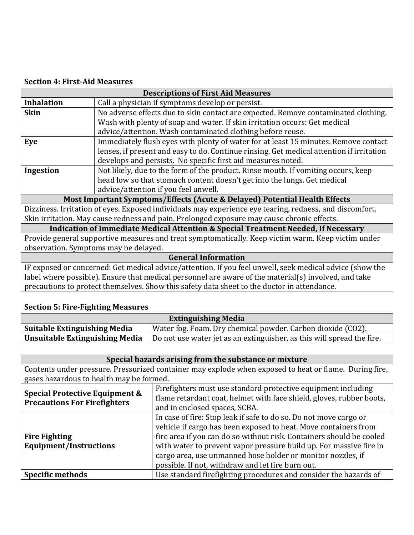#### **Section 4: First-Aid Measures**

| <b>Descriptions of First Aid Measures</b>                                          |                                                                                                         |  |  |
|------------------------------------------------------------------------------------|---------------------------------------------------------------------------------------------------------|--|--|
| <b>Inhalation</b>                                                                  | Call a physician if symptoms develop or persist.                                                        |  |  |
| <b>Skin</b>                                                                        | No adverse effects due to skin contact are expected. Remove contaminated clothing.                      |  |  |
|                                                                                    | Wash with plenty of soap and water. If skin irritation occurs: Get medical                              |  |  |
|                                                                                    | advice/attention. Wash contaminated clothing before reuse.                                              |  |  |
| Eye                                                                                | Immediately flush eyes with plenty of water for at least 15 minutes. Remove contact                     |  |  |
|                                                                                    | lenses, if present and easy to do. Continue rinsing. Get medical attention if irritation                |  |  |
|                                                                                    | develops and persists. No specific first aid measures noted.                                            |  |  |
| Ingestion                                                                          | Not likely, due to the form of the product. Rinse mouth. If vomiting occurs, keep                       |  |  |
|                                                                                    | head low so that stomach content doesn't get into the lungs. Get medical                                |  |  |
|                                                                                    | advice/attention if you feel unwell.                                                                    |  |  |
| Most Important Symptoms/Effects (Acute & Delayed) Potential Health Effects         |                                                                                                         |  |  |
|                                                                                    | Dizziness. Irritation of eyes. Exposed individuals may experience eye tearing, redness, and discomfort. |  |  |
|                                                                                    | Skin irritation. May cause redness and pain. Prolonged exposure may cause chronic effects.              |  |  |
| Indication of Immediate Medical Attention & Special Treatment Needed, If Necessary |                                                                                                         |  |  |
|                                                                                    | Provide general supportive measures and treat symptomatically. Keep victim warm. Keep victim under      |  |  |
| observation. Symptoms may be delayed.                                              |                                                                                                         |  |  |
| <b>General Information</b>                                                         |                                                                                                         |  |  |

IF exposed or concerned: Get medical advice/attention. If you feel unwell, seek medical advice (show the label where possible). Ensure that medical personnel are aware of the material(s) involved, and take precautions to protect themselves. Show this safety data sheet to the doctor in attendance.

#### **Section 5: Fire-Fighting Measures**

| <b>Extinguishing Media</b>          |                                                                        |  |  |
|-------------------------------------|------------------------------------------------------------------------|--|--|
| <b>Suitable Extinguishing Media</b> | Water fog. Foam. Dry chemical powder. Carbon dioxide (CO2).            |  |  |
| Unsuitable Extinguishing Media      | Do not use water jet as an extinguisher, as this will spread the fire. |  |  |

| Special hazards arising from the substance or mixture                                                                                                                                                                                           |                                                                                                                                                                                                                                                                                                                                                                                                        |  |  |  |  |
|-------------------------------------------------------------------------------------------------------------------------------------------------------------------------------------------------------------------------------------------------|--------------------------------------------------------------------------------------------------------------------------------------------------------------------------------------------------------------------------------------------------------------------------------------------------------------------------------------------------------------------------------------------------------|--|--|--|--|
|                                                                                                                                                                                                                                                 | Contents under pressure. Pressurized container may explode when exposed to heat or flame. During fire,                                                                                                                                                                                                                                                                                                 |  |  |  |  |
| gases hazardous to health may be formed.                                                                                                                                                                                                        |                                                                                                                                                                                                                                                                                                                                                                                                        |  |  |  |  |
| Firefighters must use standard protective equipment including<br>Special Protective Equipment &<br>flame retardant coat, helmet with face shield, gloves, rubber boots,<br><b>Precautions For Firefighters</b><br>and in enclosed spaces, SCBA. |                                                                                                                                                                                                                                                                                                                                                                                                        |  |  |  |  |
| <b>Fire Fighting</b><br><b>Equipment/Instructions</b>                                                                                                                                                                                           | In case of fire: Stop leak if safe to do so. Do not move cargo or<br>vehicle if cargo has been exposed to heat. Move containers from<br>fire area if you can do so without risk. Containers should be cooled<br>with water to prevent vapor pressure build up. For massive fire in<br>cargo area, use unmanned hose holder or monitor nozzles, if<br>possible. If not, withdraw and let fire burn out. |  |  |  |  |
| <b>Specific methods</b>                                                                                                                                                                                                                         | Use standard firefighting procedures and consider the hazards of                                                                                                                                                                                                                                                                                                                                       |  |  |  |  |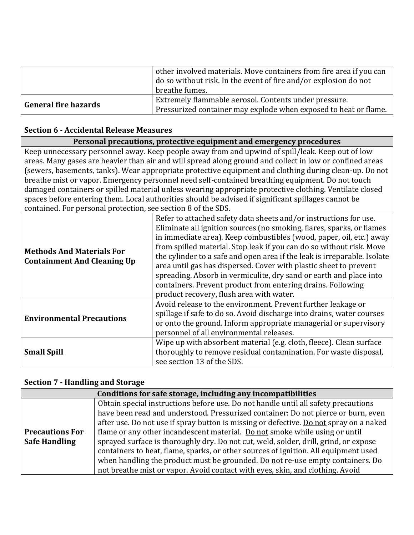|                             | other involved materials. Move containers from fire area if you can<br>do so without risk. In the event of fire and/or explosion do not<br>breathe fumes. |
|-----------------------------|-----------------------------------------------------------------------------------------------------------------------------------------------------------|
| <b>General fire hazards</b> | Extremely flammable aerosol. Contents under pressure.<br>Pressurized container may explode when exposed to heat or flame.                                 |

#### **Section 6 - Accidental Release Measures**

| Personal precautions, protective equipment and emergency procedures                                                                                                                                                                                                                                                                                                                                                                                                                                                                                                                                                                                                                                           |                                                                                                                                                                                                                                                                                                                                                                                                                                                                                                                                                                                                                             |  |  |
|---------------------------------------------------------------------------------------------------------------------------------------------------------------------------------------------------------------------------------------------------------------------------------------------------------------------------------------------------------------------------------------------------------------------------------------------------------------------------------------------------------------------------------------------------------------------------------------------------------------------------------------------------------------------------------------------------------------|-----------------------------------------------------------------------------------------------------------------------------------------------------------------------------------------------------------------------------------------------------------------------------------------------------------------------------------------------------------------------------------------------------------------------------------------------------------------------------------------------------------------------------------------------------------------------------------------------------------------------------|--|--|
| Keep unnecessary personnel away. Keep people away from and upwind of spill/leak. Keep out of low<br>areas. Many gases are heavier than air and will spread along ground and collect in low or confined areas<br>(sewers, basements, tanks). Wear appropriate protective equipment and clothing during clean-up. Do not<br>breathe mist or vapor. Emergency personnel need self-contained breathing equipment. Do not touch<br>damaged containers or spilled material unless wearing appropriate protective clothing. Ventilate closed<br>spaces before entering them. Local authorities should be advised if significant spillages cannot be<br>contained. For personal protection, see section 8 of the SDS. |                                                                                                                                                                                                                                                                                                                                                                                                                                                                                                                                                                                                                             |  |  |
| <b>Methods And Materials For</b><br><b>Containment And Cleaning Up</b>                                                                                                                                                                                                                                                                                                                                                                                                                                                                                                                                                                                                                                        | Refer to attached safety data sheets and/or instructions for use.<br>Eliminate all ignition sources (no smoking, flares, sparks, or flames<br>in immediate area). Keep combustibles (wood, paper, oil, etc.) away<br>from spilled material. Stop leak if you can do so without risk. Move<br>the cylinder to a safe and open area if the leak is irreparable. Isolate<br>area until gas has dispersed. Cover with plastic sheet to prevent<br>spreading. Absorb in vermiculite, dry sand or earth and place into<br>containers. Prevent product from entering drains. Following<br>product recovery, flush area with water. |  |  |
| <b>Environmental Precautions</b>                                                                                                                                                                                                                                                                                                                                                                                                                                                                                                                                                                                                                                                                              | Avoid release to the environment. Prevent further leakage or<br>spillage if safe to do so. Avoid discharge into drains, water courses<br>or onto the ground. Inform appropriate managerial or supervisory<br>personnel of all environmental releases.                                                                                                                                                                                                                                                                                                                                                                       |  |  |
| <b>Small Spill</b>                                                                                                                                                                                                                                                                                                                                                                                                                                                                                                                                                                                                                                                                                            | Wipe up with absorbent material (e.g. cloth, fleece). Clean surface<br>thoroughly to remove residual contamination. For waste disposal,<br>see section 13 of the SDS.                                                                                                                                                                                                                                                                                                                                                                                                                                                       |  |  |

## **Section 7 - Handling and Storage**

| Conditions for safe storage, including any incompatibilities |                                                                                        |  |  |  |  |
|--------------------------------------------------------------|----------------------------------------------------------------------------------------|--|--|--|--|
|                                                              | Obtain special instructions before use. Do not handle until all safety precautions     |  |  |  |  |
|                                                              | have been read and understood. Pressurized container: Do not pierce or burn, even      |  |  |  |  |
|                                                              | after use. Do not use if spray button is missing or defective. Do not spray on a naked |  |  |  |  |
| <b>Precautions For</b>                                       | flame or any other incandescent material. Do not smoke while using or until            |  |  |  |  |
| <b>Safe Handling</b>                                         | sprayed surface is thoroughly dry. Do not cut, weld, solder, drill, grind, or expose   |  |  |  |  |
|                                                              | containers to heat, flame, sparks, or other sources of ignition. All equipment used    |  |  |  |  |
|                                                              | when handling the product must be grounded. Do not re-use empty containers. Do         |  |  |  |  |
|                                                              | not breathe mist or vapor. Avoid contact with eyes, skin, and clothing. Avoid          |  |  |  |  |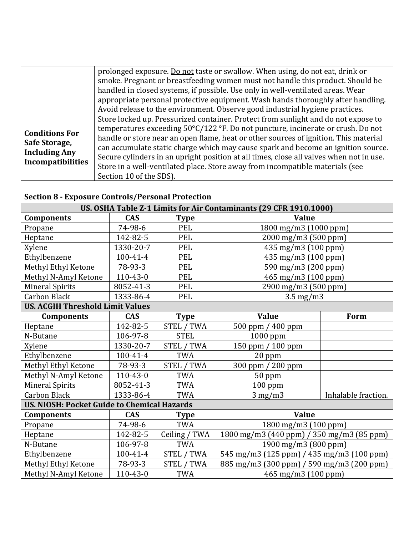|                                                  | prolonged exposure. Do not taste or swallow. When using, do not eat, drink or              |
|--------------------------------------------------|--------------------------------------------------------------------------------------------|
|                                                  | smoke. Pregnant or breastfeeding women must not handle this product. Should be             |
|                                                  | handled in closed systems, if possible. Use only in well-ventilated areas. Wear            |
|                                                  | appropriate personal protective equipment. Wash hands thoroughly after handling.           |
|                                                  | Avoid release to the environment. Observe good industrial hygiene practices.               |
|                                                  | Store locked up. Pressurized container. Protect from sunlight and do not expose to         |
| <b>Conditions For</b>                            | temperatures exceeding $50^{\circ}$ C/122 °F. Do not puncture, incinerate or crush. Do not |
| Safe Storage,                                    | handle or store near an open flame, heat or other sources of ignition. This material       |
|                                                  | can accumulate static charge which may cause spark and become an ignition source.          |
| <b>Including Any</b><br><b>Incompatibilities</b> | Secure cylinders in an upright position at all times, close all valves when not in use.    |
|                                                  | Store in a well-ventilated place. Store away from incompatible materials (see              |
|                                                  | Section 10 of the SDS).                                                                    |

## **Section 8 - Exposure Controls/Personal Protection**

| US. OSHA Table Z-1 Limits for Air Contaminants (29 CFR 1910.1000) |                |                   |                                           |                     |  |
|-------------------------------------------------------------------|----------------|-------------------|-------------------------------------------|---------------------|--|
| <b>Components</b>                                                 | <b>CAS</b>     | <b>Type</b>       | <b>Value</b>                              |                     |  |
| Propane                                                           | 74-98-6        | PEL               | 1800 mg/m3 (1000 ppm)                     |                     |  |
| Heptane                                                           | 142-82-5       | <b>PEL</b>        | 2000 mg/m3 (500 ppm)                      |                     |  |
| Xylene                                                            | 1330-20-7      | PEL               | 435 mg/m3 (100 ppm)                       |                     |  |
| Ethylbenzene                                                      | 100-41-4       | <b>PEL</b>        | 435 mg/m3 (100 ppm)                       |                     |  |
| Methyl Ethyl Ketone                                               | 78-93-3        | PEL               | 590 mg/m3 (200 ppm)                       |                     |  |
| Methyl N-Amyl Ketone                                              | $110 - 43 - 0$ | PEL               | 465 mg/m3 (100 ppm)                       |                     |  |
| <b>Mineral Spirits</b>                                            | 8052-41-3      | PEL               | 2900 mg/m3 (500 ppm)                      |                     |  |
| <b>Carbon Black</b>                                               | 1333-86-4      | PEL               | $3.5 \text{ mg/m}$ 3                      |                     |  |
| <b>US. ACGIH Threshold Limit Values</b>                           |                |                   |                                           |                     |  |
| <b>Components</b>                                                 | <b>CAS</b>     | <b>Type</b>       | <b>Value</b>                              | Form                |  |
| Heptane                                                           | 142-82-5       | STEL / TWA        | 500 ppm / 400 ppm                         |                     |  |
| N-Butane                                                          | 106-97-8       | <b>STEL</b>       | 1000 ppm                                  |                     |  |
| Xylene                                                            | 1330-20-7      | <b>STEL / TWA</b> | 150 ppm / 100 ppm                         |                     |  |
| Ethylbenzene                                                      | 100-41-4       | <b>TWA</b>        | 20 ppm                                    |                     |  |
| Methyl Ethyl Ketone                                               | 78-93-3        | <b>STEL / TWA</b> | 300 ppm / 200 ppm                         |                     |  |
| Methyl N-Amyl Ketone                                              | 110-43-0       | <b>TWA</b>        | 50 ppm                                    |                     |  |
| <b>Mineral Spirits</b>                                            | 8052-41-3      | <b>TWA</b>        | $100$ ppm                                 |                     |  |
| Carbon Black                                                      | 1333-86-4      | <b>TWA</b>        | $3$ mg/m $3$                              | Inhalable fraction. |  |
| <b>US. NIOSH: Pocket Guide to Chemical Hazards</b>                |                |                   |                                           |                     |  |
| <b>Components</b>                                                 | <b>CAS</b>     | <b>Type</b>       | <b>Value</b>                              |                     |  |
| Propane                                                           | 74-98-6        | <b>TWA</b>        | 1800 mg/m3 (100 ppm)                      |                     |  |
| Heptane                                                           | 142-82-5       | Ceiling / TWA     | 1800 mg/m3 (440 ppm) / 350 mg/m3 (85 ppm) |                     |  |
| N-Butane                                                          | 106-97-8       | <b>TWA</b>        | 1900 mg/m3 (800 ppm)                      |                     |  |
| Ethylbenzene                                                      | 100-41-4       | <b>STEL / TWA</b> | 545 mg/m3 (125 ppm) / 435 mg/m3 (100 ppm) |                     |  |
| Methyl Ethyl Ketone                                               | 78-93-3        | STEL / TWA        | 885 mg/m3 (300 ppm) / 590 mg/m3 (200 ppm) |                     |  |
| Methyl N-Amyl Ketone                                              | 110-43-0       | <b>TWA</b>        | 465 mg/m3 (100 ppm)                       |                     |  |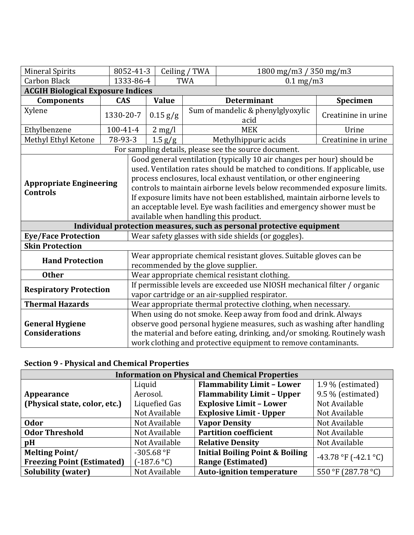| <b>Mineral Spirits</b>                            |            | 8052-41-3                                                                                                                  |                                                                                                                                                                                                                                                                                                                                                                                                                                                                                                        | Ceiling / TWA | 1800 mg/m3 / 350 mg/m3                                                |                     |  |
|---------------------------------------------------|------------|----------------------------------------------------------------------------------------------------------------------------|--------------------------------------------------------------------------------------------------------------------------------------------------------------------------------------------------------------------------------------------------------------------------------------------------------------------------------------------------------------------------------------------------------------------------------------------------------------------------------------------------------|---------------|-----------------------------------------------------------------------|---------------------|--|
| <b>Carbon Black</b>                               |            | 1333-86-4                                                                                                                  |                                                                                                                                                                                                                                                                                                                                                                                                                                                                                                        | <b>TWA</b>    | $0.1$ mg/m3                                                           |                     |  |
| <b>ACGIH Biological Exposure Indices</b>          |            |                                                                                                                            |                                                                                                                                                                                                                                                                                                                                                                                                                                                                                                        |               |                                                                       |                     |  |
| <b>Components</b>                                 | <b>CAS</b> |                                                                                                                            | <b>Value</b>                                                                                                                                                                                                                                                                                                                                                                                                                                                                                           |               | <b>Determinant</b>                                                    | Specimen            |  |
| Xylene                                            | 1330-20-7  |                                                                                                                            | 0.15 g/g                                                                                                                                                                                                                                                                                                                                                                                                                                                                                               |               | Sum of mandelic & phenylglyoxylic<br>acid                             | Creatinine in urine |  |
| Ethylbenzene                                      | 100-41-4   |                                                                                                                            | $2 \text{ mg/l}$                                                                                                                                                                                                                                                                                                                                                                                                                                                                                       |               | <b>MEK</b>                                                            | Urine               |  |
| Methyl Ethyl Ketone                               | 78-93-3    |                                                                                                                            | $1.5$ g/g                                                                                                                                                                                                                                                                                                                                                                                                                                                                                              |               | Methylhippuric acids                                                  | Creatinine in urine |  |
|                                                   |            |                                                                                                                            |                                                                                                                                                                                                                                                                                                                                                                                                                                                                                                        |               | For sampling details, please see the source document.                 |                     |  |
| <b>Appropriate Engineering</b><br><b>Controls</b> |            |                                                                                                                            | Good general ventilation (typically 10 air changes per hour) should be<br>used. Ventilation rates should be matched to conditions. If applicable, use<br>process enclosures, local exhaust ventilation, or other engineering<br>controls to maintain airborne levels below recommended exposure limits.<br>If exposure limits have not been established, maintain airborne levels to<br>an acceptable level. Eye wash facilities and emergency shower must be<br>available when handling this product. |               |                                                                       |                     |  |
|                                                   |            |                                                                                                                            |                                                                                                                                                                                                                                                                                                                                                                                                                                                                                                        |               | Individual protection measures, such as personal protective equipment |                     |  |
| <b>Eye/Face Protection</b>                        |            | Wear safety glasses with side shields (or goggles).                                                                        |                                                                                                                                                                                                                                                                                                                                                                                                                                                                                                        |               |                                                                       |                     |  |
| <b>Skin Protection</b>                            |            |                                                                                                                            |                                                                                                                                                                                                                                                                                                                                                                                                                                                                                                        |               |                                                                       |                     |  |
| <b>Hand Protection</b>                            |            | Wear appropriate chemical resistant gloves. Suitable gloves can be<br>recommended by the glove supplier.                   |                                                                                                                                                                                                                                                                                                                                                                                                                                                                                                        |               |                                                                       |                     |  |
| <b>Other</b>                                      |            | Wear appropriate chemical resistant clothing.                                                                              |                                                                                                                                                                                                                                                                                                                                                                                                                                                                                                        |               |                                                                       |                     |  |
| <b>Respiratory Protection</b>                     |            | If permissible levels are exceeded use NIOSH mechanical filter / organic<br>vapor cartridge or an air-supplied respirator. |                                                                                                                                                                                                                                                                                                                                                                                                                                                                                                        |               |                                                                       |                     |  |
| <b>Thermal Hazards</b>                            |            |                                                                                                                            | Wear appropriate thermal protective clothing, when necessary.                                                                                                                                                                                                                                                                                                                                                                                                                                          |               |                                                                       |                     |  |
| <b>General Hygiene</b><br><b>Considerations</b>   |            |                                                                                                                            | When using do not smoke. Keep away from food and drink. Always<br>observe good personal hygiene measures, such as washing after handling<br>the material and before eating, drinking, and/or smoking. Routinely wash<br>work clothing and protective equipment to remove contaminants.                                                                                                                                                                                                                 |               |                                                                       |                     |  |

# **Section 9 - Physical and Chemical Properties**

| <b>Information on Physical and Chemical Properties</b> |               |                                            |                      |  |  |
|--------------------------------------------------------|---------------|--------------------------------------------|----------------------|--|--|
|                                                        | Liquid        | <b>Flammability Limit - Lower</b>          | 1.9 % (estimated)    |  |  |
| Appearance                                             | Aerosol.      | <b>Flammability Limit - Upper</b>          | 9.5 % (estimated)    |  |  |
| (Physical state, color, etc.)                          | Liquefied Gas | <b>Explosive Limit - Lower</b>             | Not Available        |  |  |
|                                                        | Not Available | <b>Explosive Limit - Upper</b>             | Not Available        |  |  |
| <b>Odor</b>                                            | Not Available | <b>Vapor Density</b>                       | Not Available        |  |  |
| <b>Odor Threshold</b>                                  | Not Available | <b>Partition coefficient</b>               | Not Available        |  |  |
| pH                                                     | Not Available | <b>Relative Density</b>                    | Not Available        |  |  |
| <b>Melting Point/</b>                                  | $-305.68$ °F  | <b>Initial Boiling Point &amp; Boiling</b> | -43.78 °F (-42.1 °C) |  |  |
| <b>Freezing Point (Estimated)</b>                      | $(-187.6 °C)$ | <b>Range (Estimated)</b>                   |                      |  |  |
| <b>Solubility (water)</b>                              | Not Available | <b>Auto-ignition temperature</b>           | 550 °F (287.78 °C)   |  |  |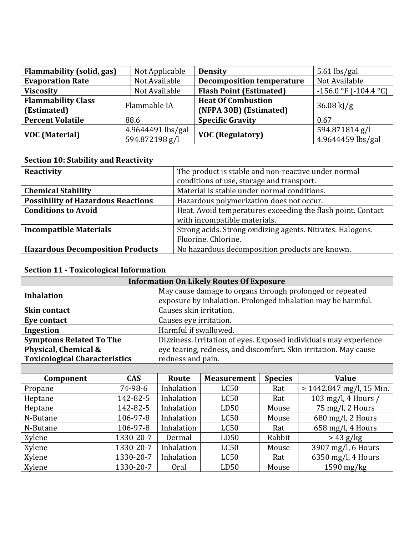| Flammability (solid, gas) | Not Applicable    | <b>Density</b>                   | $5.61$ lbs/gal             |
|---------------------------|-------------------|----------------------------------|----------------------------|
| <b>Evaporation Rate</b>   | Not Available     | <b>Decomposition temperature</b> | Not Available              |
| <b>Viscosity</b>          | Not Available     | <b>Flash Point (Estimated)</b>   | $-156.0$ °F ( $-104.4$ °C) |
| <b>Flammability Class</b> | Flammable IA      | <b>Heat Of Combustion</b>        | $36.08 \text{ kJ/g}$       |
| (Estimated)               |                   | (NFPA 30B) (Estimated)           |                            |
| <b>Percent Volatile</b>   | 88.6              | <b>Specific Gravity</b>          | 0.67                       |
|                           | 4.9644491 lbs/gal | <b>VOC (Regulatory)</b>          | 594.871814 g/l             |
| <b>VOC (Material)</b>     | 594.872198 g/l    |                                  | 4.9644459 lbs/gal          |

### **Section 10: Stability and Reactivity**

| Reactivity                                | The product is stable and non-reactive under normal         |  |
|-------------------------------------------|-------------------------------------------------------------|--|
|                                           | conditions of use, storage and transport.                   |  |
| <b>Chemical Stability</b>                 | Material is stable under normal conditions.                 |  |
| <b>Possibility of Hazardous Reactions</b> | Hazardous polymerization does not occur.                    |  |
| <b>Conditions to Avoid</b>                | Heat. Avoid temperatures exceeding the flash point. Contact |  |
|                                           | with incompatible materials.                                |  |
| <b>Incompatible Materials</b>             | Strong acids. Strong oxidizing agents. Nitrates. Halogens.  |  |
|                                           | Fluorine. Chlorine.                                         |  |
| <b>Hazardous Decomposition Products</b>   | No hazardous decomposition products are known.              |  |

## **Section 11 - Toxicological Information**

| <b>Information On Likely Routes Of Exposure</b>                                                     |                                                                  |                                                                                                                          |                      |  |              |
|-----------------------------------------------------------------------------------------------------|------------------------------------------------------------------|--------------------------------------------------------------------------------------------------------------------------|----------------------|--|--------------|
| <b>Inhalation</b>                                                                                   |                                                                  | May cause damage to organs through prolonged or repeated<br>exposure by inhalation. Prolonged inhalation may be harmful. |                      |  |              |
| <b>Skin contact</b>                                                                                 |                                                                  | Causes skin irritation.                                                                                                  |                      |  |              |
| Eye contact                                                                                         |                                                                  | Causes eye irritation.                                                                                                   |                      |  |              |
| Ingestion                                                                                           |                                                                  | Harmful if swallowed.                                                                                                    |                      |  |              |
| <b>Symptoms Related To The</b><br>Dizziness. Irritation of eyes. Exposed individuals may experience |                                                                  |                                                                                                                          |                      |  |              |
| Physical, Chemical &                                                                                | eye tearing, redness, and discomfort. Skin irritation. May cause |                                                                                                                          |                      |  |              |
| <b>Toxicological Characteristics</b>                                                                | redness and pain.                                                |                                                                                                                          |                      |  |              |
|                                                                                                     |                                                                  |                                                                                                                          |                      |  |              |
| $C2$ $\cdots$ $\cdots$                                                                              | $\overline{C}$                                                   | $D_{\alpha+1}$                                                                                                           | Moggingway + Crosses |  | $\mathbf{V}$ |

| Component | <b>CAS</b> | Route      | <b>Measurement</b> | <b>Species</b> | <b>Value</b>               |
|-----------|------------|------------|--------------------|----------------|----------------------------|
| Propane   | 74-98-6    | Inhalation | LC50               | Rat            | $> 1442.847$ mg/l, 15 Min. |
| Heptane   | 142-82-5   | Inhalation | LC50               | Rat            | 103 mg/l, 4 Hours          |
| Heptane   | 142-82-5   | Inhalation | LD50               | Mouse          | 75 mg/l, 2 Hours           |
| N-Butane  | 106-97-8   | Inhalation | LC50               | Mouse          | 680 mg/l, 2 Hours          |
| N-Butane  | 106-97-8   | Inhalation | LC50               | Rat            | $658$ mg/l, 4 Hours        |
| Xylene    | 1330-20-7  | Dermal     | LD50               | Rabbit         | $> 43$ g/kg                |
| Xylene    | 1330-20-7  | Inhalation | LC50               | Mouse          | 3907 mg/l, 6 Hours         |
| Xylene    | 1330-20-7  | Inhalation | LC50               | Rat            | $6350$ mg/l, 4 Hours       |
| Xylene    | 1330-20-7  | Oral       | LD50               | Mouse          | $1590$ mg/kg               |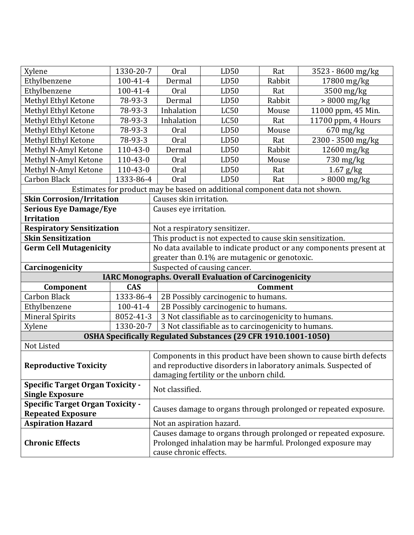| Xylene                                  | 1330-20-7  | Oral                                                               | LD50                                                                       | Rat            | 3523 - 8600 mg/kg                                                 |  |
|-----------------------------------------|------------|--------------------------------------------------------------------|----------------------------------------------------------------------------|----------------|-------------------------------------------------------------------|--|
| Ethylbenzene                            | 100-41-4   | Dermal                                                             | LD50                                                                       | Rabbit         | 17800 mg/kg                                                       |  |
| Ethylbenzene                            | 100-41-4   | Oral                                                               | LD50                                                                       | Rat            | 3500 mg/kg                                                        |  |
| Methyl Ethyl Ketone                     | 78-93-3    | Dermal                                                             | LD50                                                                       | Rabbit         | $>8000$ mg/kg                                                     |  |
| Methyl Ethyl Ketone                     | 78-93-3    | Inhalation                                                         | <b>LC50</b>                                                                | Mouse          | 11000 ppm, 45 Min.                                                |  |
| Methyl Ethyl Ketone                     | 78-93-3    | Inhalation                                                         | <b>LC50</b>                                                                | Rat            | 11700 ppm, 4 Hours                                                |  |
| Methyl Ethyl Ketone                     | 78-93-3    | Oral                                                               | LD50                                                                       | Mouse          | $670$ mg/kg                                                       |  |
| Methyl Ethyl Ketone                     | 78-93-3    | Oral                                                               | LD50                                                                       | Rat            | 2300 - 3500 mg/kg                                                 |  |
| Methyl N-Amyl Ketone                    | 110-43-0   | Dermal                                                             | LD50                                                                       | Rabbit         | 12600 mg/kg                                                       |  |
| Methyl N-Amyl Ketone                    | 110-43-0   | Oral                                                               | LD50                                                                       | Mouse          | $730$ mg/kg                                                       |  |
| Methyl N-Amyl Ketone                    | 110-43-0   | Oral                                                               | LD50                                                                       | Rat            | $1.67$ g/kg                                                       |  |
| <b>Carbon Black</b>                     | 1333-86-4  | Oral                                                               | LD50                                                                       | Rat            | $> 8000$ mg/kg                                                    |  |
|                                         |            |                                                                    | Estimates for product may be based on additional component data not shown. |                |                                                                   |  |
| <b>Skin Corrosion/Irritation</b>        |            | Causes skin irritation.                                            |                                                                            |                |                                                                   |  |
| <b>Serious Eye Damage/Eye</b>           |            | Causes eye irritation.                                             |                                                                            |                |                                                                   |  |
| <b>Irritation</b>                       |            |                                                                    |                                                                            |                |                                                                   |  |
| <b>Respiratory Sensitization</b>        |            |                                                                    | Not a respiratory sensitizer.                                              |                |                                                                   |  |
| <b>Skin Sensitization</b>               |            | This product is not expected to cause skin sensitization.          |                                                                            |                |                                                                   |  |
| <b>Germ Cell Mutagenicity</b>           |            | No data available to indicate product or any components present at |                                                                            |                |                                                                   |  |
|                                         |            |                                                                    |                                                                            |                |                                                                   |  |
|                                         |            |                                                                    | greater than 0.1% are mutagenic or genotoxic.                              |                |                                                                   |  |
| Carcinogenicity                         |            |                                                                    | Suspected of causing cancer.                                               |                |                                                                   |  |
|                                         |            |                                                                    | <b>IARC Monographs. Overall Evaluation of Carcinogenicity</b>              |                |                                                                   |  |
| Component                               | <b>CAS</b> |                                                                    |                                                                            | <b>Comment</b> |                                                                   |  |
| <b>Carbon Black</b>                     | 1333-86-4  |                                                                    | 2B Possibly carcinogenic to humans.                                        |                |                                                                   |  |
| Ethylbenzene                            | 100-41-4   |                                                                    | 2B Possibly carcinogenic to humans.                                        |                |                                                                   |  |
| <b>Mineral Spirits</b>                  | 8052-41-3  |                                                                    | 3 Not classifiable as to carcinogenicity to humans.                        |                |                                                                   |  |
| Xylene                                  | 1330-20-7  |                                                                    | 3 Not classifiable as to carcinogenicity to humans.                        |                |                                                                   |  |
|                                         |            |                                                                    | OSHA Specifically Regulated Substances (29 CFR 1910.1001-1050)             |                |                                                                   |  |
| Not Listed                              |            |                                                                    |                                                                            |                |                                                                   |  |
|                                         |            |                                                                    |                                                                            |                | Components in this product have been shown to cause birth defects |  |
| <b>Reproductive Toxicity</b>            |            |                                                                    |                                                                            |                | and reproductive disorders in laboratory animals. Suspected of    |  |
|                                         |            |                                                                    | damaging fertility or the unborn child.                                    |                |                                                                   |  |
| <b>Specific Target Organ Toxicity -</b> |            |                                                                    |                                                                            |                |                                                                   |  |
| <b>Single Exposure</b>                  |            | Not classified.                                                    |                                                                            |                |                                                                   |  |
| <b>Specific Target Organ Toxicity -</b> |            |                                                                    |                                                                            |                |                                                                   |  |
| <b>Repeated Exposure</b>                |            |                                                                    |                                                                            |                | Causes damage to organs through prolonged or repeated exposure.   |  |
| <b>Aspiration Hazard</b>                |            | Not an aspiration hazard.                                          |                                                                            |                |                                                                   |  |
|                                         |            |                                                                    |                                                                            |                | Causes damage to organs through prolonged or repeated exposure.   |  |
| <b>Chronic Effects</b>                  |            | cause chronic effects.                                             |                                                                            |                | Prolonged inhalation may be harmful. Prolonged exposure may       |  |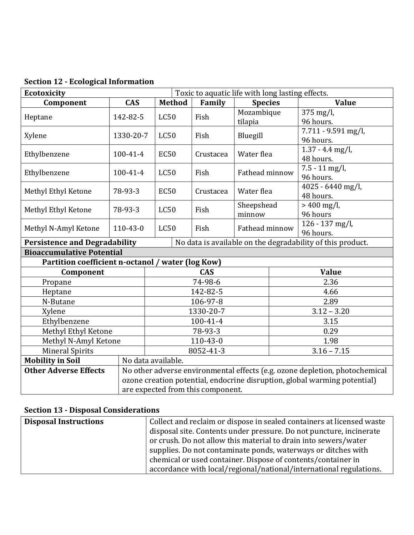| <b>Ecotoxicity</b><br>Toxic to aquatic life with long lasting effects. |                                   |                    |                |                |                                                                             |  |
|------------------------------------------------------------------------|-----------------------------------|--------------------|----------------|----------------|-----------------------------------------------------------------------------|--|
| Component                                                              | <b>CAS</b>                        | <b>Method</b>      | Family         | <b>Species</b> | <b>Value</b>                                                                |  |
| Heptane                                                                | 142-82-5                          | <b>LC50</b>        | Fish           | Mozambique     | $375$ mg/l,                                                                 |  |
|                                                                        |                                   |                    | tilapia        |                | 96 hours.                                                                   |  |
| Xylene                                                                 | 1330-20-7                         | LC50               | Fish           | Bluegill       | $7.711 - 9.591$ mg/l,                                                       |  |
|                                                                        |                                   |                    |                |                | 96 hours.                                                                   |  |
| Ethylbenzene                                                           | 100-41-4                          | <b>EC50</b>        | Crustacea      | Water flea     | $1.37 - 4.4$ mg/l,                                                          |  |
|                                                                        |                                   |                    |                |                | 48 hours.                                                                   |  |
| Ethylbenzene                                                           | 100-41-4                          | LC50               | Fish           | Fathead minnow | $7.5 - 11$ mg/l,                                                            |  |
|                                                                        |                                   |                    |                |                | 96 hours.                                                                   |  |
| Methyl Ethyl Ketone                                                    | 78-93-3                           | <b>EC50</b>        | Crustacea      | Water flea     | 4025 - 6440 mg/l,                                                           |  |
|                                                                        |                                   |                    |                |                | 48 hours.                                                                   |  |
| Methyl Ethyl Ketone                                                    | 78-93-3                           | LC50               | Fish           | Sheepshead     | $> 400$ mg/l,                                                               |  |
|                                                                        |                                   |                    |                | minnow         | 96 hours                                                                    |  |
| Methyl N-Amyl Ketone                                                   | 110-43-0                          | <b>LC50</b>        | Fish           | Fathead minnow | 126 - 137 mg/l,                                                             |  |
|                                                                        |                                   |                    |                |                | 96 hours.                                                                   |  |
| <b>Persistence and Degradability</b>                                   |                                   |                    |                |                | No data is available on the degradability of this product.                  |  |
| <b>Bioaccumulative Potential</b>                                       |                                   |                    |                |                |                                                                             |  |
| Partition coefficient n-octanol / water (log Kow)                      |                                   |                    |                |                |                                                                             |  |
| Component                                                              |                                   | <b>CAS</b>         |                |                | <b>Value</b>                                                                |  |
| Propane                                                                |                                   |                    | 74-98-6        |                | 2.36                                                                        |  |
| Heptane                                                                |                                   | 142-82-5           |                |                | 4.66                                                                        |  |
| N-Butane                                                               |                                   | 106-97-8           |                |                | 2.89                                                                        |  |
| Xylene                                                                 |                                   | 1330-20-7          |                |                | $3.12 - 3.20$                                                               |  |
| Ethylbenzene                                                           |                                   | 100-41-4           |                |                | 3.15                                                                        |  |
| Methyl Ethyl Ketone                                                    |                                   | 78-93-3            |                |                | 0.29                                                                        |  |
| Methyl N-Amyl Ketone                                                   |                                   |                    | $110 - 43 - 0$ |                | 1.98                                                                        |  |
| <b>Mineral Spirits</b>                                                 |                                   |                    | 8052-41-3      |                | $3.16 - 7.15$                                                               |  |
| <b>Mobility in Soil</b>                                                |                                   | No data available. |                |                |                                                                             |  |
| <b>Other Adverse Effects</b>                                           |                                   |                    |                |                | No other adverse environmental effects (e.g. ozone depletion, photochemical |  |
|                                                                        |                                   |                    |                |                | ozone creation potential, endocrine disruption, global warming potential)   |  |
|                                                                        | are expected from this component. |                    |                |                |                                                                             |  |

**Section 12 - Ecological Information** 

# **Section 13 - Disposal Considerations**

| <b>Disposal Instructions</b> | Collect and reclaim or dispose in sealed containers at licensed waste |
|------------------------------|-----------------------------------------------------------------------|
|                              | disposal site. Contents under pressure. Do not puncture, incinerate   |
|                              | or crush. Do not allow this material to drain into sewers/water       |
|                              | supplies. Do not contaminate ponds, waterways or ditches with         |
|                              | chemical or used container. Dispose of contents/container in          |
|                              | accordance with local/regional/national/international regulations.    |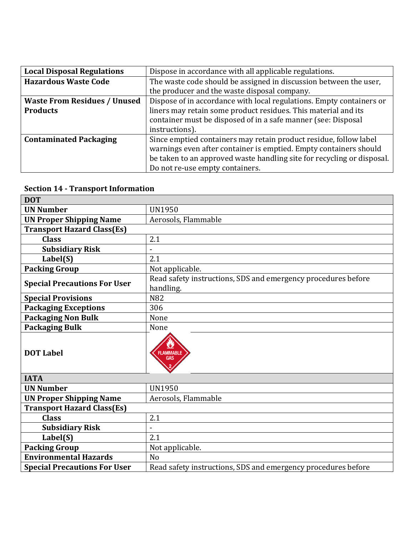| <b>Local Disposal Regulations</b>   | Dispose in accordance with all applicable regulations.                 |  |  |
|-------------------------------------|------------------------------------------------------------------------|--|--|
| <b>Hazardous Waste Code</b>         | The waste code should be assigned in discussion between the user,      |  |  |
|                                     | the producer and the waste disposal company.                           |  |  |
| <b>Waste From Residues / Unused</b> | Dispose of in accordance with local regulations. Empty containers or   |  |  |
| <b>Products</b>                     | liners may retain some product residues. This material and its         |  |  |
|                                     | container must be disposed of in a safe manner (see: Disposal          |  |  |
|                                     | instructions).                                                         |  |  |
| <b>Contaminated Packaging</b>       | Since emptied containers may retain product residue, follow label      |  |  |
|                                     | warnings even after container is emptied. Empty containers should      |  |  |
|                                     | be taken to an approved waste handling site for recycling or disposal. |  |  |
|                                     | Do not re-use empty containers.                                        |  |  |

#### **Section 14 - Transport Information**

| <b>DOT</b>                          |                                                                            |
|-------------------------------------|----------------------------------------------------------------------------|
| <b>UN Number</b>                    | <b>UN1950</b>                                                              |
| <b>UN Proper Shipping Name</b>      | Aerosols, Flammable                                                        |
| <b>Transport Hazard Class(Es)</b>   |                                                                            |
| <b>Class</b>                        | 2.1                                                                        |
| <b>Subsidiary Risk</b>              |                                                                            |
| Label(S)                            | 2.1                                                                        |
| <b>Packing Group</b>                | Not applicable.                                                            |
| <b>Special Precautions For User</b> | Read safety instructions, SDS and emergency procedures before<br>handling. |
| <b>Special Provisions</b>           | N82                                                                        |
| <b>Packaging Exceptions</b>         | 306                                                                        |
| <b>Packaging Non Bulk</b>           | None                                                                       |
| <b>Packaging Bulk</b>               | None                                                                       |
| <b>DOT Label</b>                    | <b>FLAMMABLE</b><br>GAS                                                    |
| <b>IATA</b>                         |                                                                            |
| <b>UN Number</b>                    | <b>UN1950</b>                                                              |
| <b>UN Proper Shipping Name</b>      | Aerosols, Flammable                                                        |
| <b>Transport Hazard Class(Es)</b>   |                                                                            |
| <b>Class</b>                        | 2.1                                                                        |
| <b>Subsidiary Risk</b>              |                                                                            |
| Label(S)                            | 2.1                                                                        |
| <b>Packing Group</b>                | Not applicable.                                                            |
| <b>Environmental Hazards</b>        | No                                                                         |
| <b>Special Precautions For User</b> | Read safety instructions, SDS and emergency procedures before              |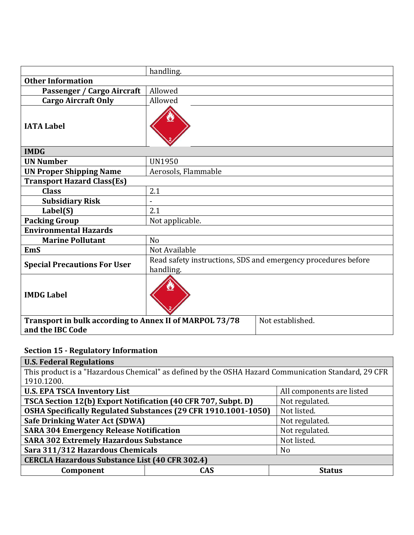|                                                                             | handling.           |                                                               |  |  |  |
|-----------------------------------------------------------------------------|---------------------|---------------------------------------------------------------|--|--|--|
| <b>Other Information</b>                                                    |                     |                                                               |  |  |  |
| Passenger / Cargo Aircraft                                                  | Allowed             |                                                               |  |  |  |
| <b>Cargo Aircraft Only</b>                                                  | Allowed             |                                                               |  |  |  |
| <b>IATA Label</b>                                                           |                     |                                                               |  |  |  |
| <b>IMDG</b>                                                                 |                     |                                                               |  |  |  |
| <b>UN Number</b>                                                            | <b>UN1950</b>       |                                                               |  |  |  |
| <b>UN Proper Shipping Name</b>                                              | Aerosols, Flammable |                                                               |  |  |  |
| <b>Transport Hazard Class(Es)</b>                                           |                     |                                                               |  |  |  |
| <b>Class</b>                                                                | 2.1                 |                                                               |  |  |  |
| <b>Subsidiary Risk</b>                                                      |                     |                                                               |  |  |  |
| Label(S)                                                                    | 2.1                 |                                                               |  |  |  |
| <b>Packing Group</b>                                                        | Not applicable.     |                                                               |  |  |  |
| <b>Environmental Hazards</b>                                                |                     |                                                               |  |  |  |
| <b>Marine Pollutant</b>                                                     | No                  |                                                               |  |  |  |
| <b>EmS</b>                                                                  | Not Available       |                                                               |  |  |  |
| <b>Special Precautions For User</b>                                         | handling.           | Read safety instructions, SDS and emergency procedures before |  |  |  |
| <b>IMDG Label</b>                                                           |                     |                                                               |  |  |  |
| Transport in bulk according to Annex II of MARPOL 73/78<br>and the IBC Code |                     | Not established.                                              |  |  |  |

# **Section 15 - Regulatory Information**

| <b>U.S. Federal Regulations</b>                                                                     |     |                |  |
|-----------------------------------------------------------------------------------------------------|-----|----------------|--|
| This product is a "Hazardous Chemical" as defined by the OSHA Hazard Communication Standard, 29 CFR |     |                |  |
| 1910.1200.                                                                                          |     |                |  |
| <b>U.S. EPA TSCA Inventory List</b><br>All components are listed                                    |     |                |  |
| TSCA Section 12(b) Export Notification (40 CFR 707, Subpt. D)                                       |     | Not regulated. |  |
| OSHA Specifically Regulated Substances (29 CFR 1910.1001-1050)                                      |     | Not listed.    |  |
| <b>Safe Drinking Water Act (SDWA)</b>                                                               |     | Not regulated. |  |
| <b>SARA 304 Emergency Release Notification</b>                                                      |     | Not regulated. |  |
| <b>SARA 302 Extremely Hazardous Substance</b>                                                       |     | Not listed.    |  |
| Sara 311/312 Hazardous Chemicals                                                                    |     | N <sub>o</sub> |  |
| <b>CERCLA Hazardous Substance List (40 CFR 302.4)</b>                                               |     |                |  |
| Component                                                                                           | CAS | <b>Status</b>  |  |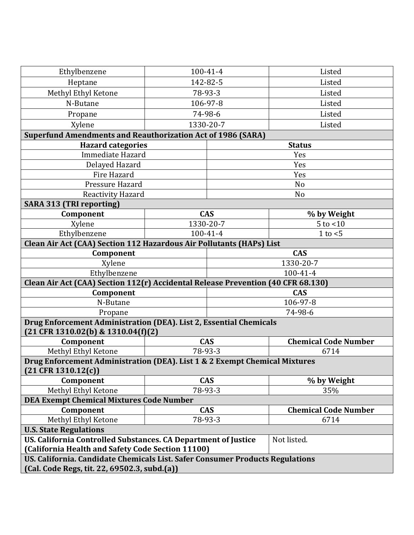| Ethylbenzene                                                                                               | 100-41-4                                  | Listed                      |  |  |
|------------------------------------------------------------------------------------------------------------|-------------------------------------------|-----------------------------|--|--|
| Heptane                                                                                                    | 142-82-5                                  | Listed                      |  |  |
| Methyl Ethyl Ketone                                                                                        | 78-93-3                                   | Listed                      |  |  |
| N-Butane                                                                                                   | 106-97-8                                  | Listed                      |  |  |
| Propane                                                                                                    | 74-98-6                                   | Listed                      |  |  |
| Xylene                                                                                                     | 1330-20-7                                 | Listed                      |  |  |
| <b>Superfund Amendments and Reauthorization Act of 1986 (SARA)</b>                                         |                                           |                             |  |  |
| <b>Hazard categories</b><br><b>Status</b>                                                                  |                                           |                             |  |  |
| Immediate Hazard                                                                                           |                                           | Yes                         |  |  |
| Delayed Hazard                                                                                             |                                           | Yes                         |  |  |
| Fire Hazard                                                                                                |                                           | Yes                         |  |  |
| Pressure Hazard                                                                                            |                                           | N <sub>o</sub>              |  |  |
| Reactivity Hazard                                                                                          |                                           | No                          |  |  |
| <b>SARA 313 (TRI reporting)</b>                                                                            |                                           |                             |  |  |
| Component                                                                                                  | <b>CAS</b>                                | % by Weight                 |  |  |
| Xylene                                                                                                     | 1330-20-7                                 | $5$ to $<$ 10               |  |  |
| Ethylbenzene                                                                                               | $100 - 41 - 4$                            | 1 to $<$ 5                  |  |  |
| Clean Air Act (CAA) Section 112 Hazardous Air Pollutants (HAPs) List                                       |                                           |                             |  |  |
| Component                                                                                                  |                                           | <b>CAS</b>                  |  |  |
| Xylene                                                                                                     |                                           | 1330-20-7                   |  |  |
| Ethylbenzene                                                                                               | 100-41-4                                  |                             |  |  |
| Clean Air Act (CAA) Section 112(r) Accidental Release Prevention (40 CFR 68.130)                           |                                           |                             |  |  |
| Component                                                                                                  |                                           | <b>CAS</b>                  |  |  |
| N-Butane                                                                                                   |                                           | 106-97-8                    |  |  |
| Propane                                                                                                    |                                           | 74-98-6                     |  |  |
| Drug Enforcement Administration (DEA). List 2, Essential Chemicals<br>$(21$ CFR 1310.02(b) & 1310.04(f)(2) |                                           |                             |  |  |
| Component                                                                                                  | <b>CAS</b><br><b>Chemical Code Number</b> |                             |  |  |
| Methyl Ethyl Ketone                                                                                        | 78-93-3                                   | 6714                        |  |  |
| Drug Enforcement Administration (DEA). List 1 & 2 Exempt Chemical Mixtures                                 |                                           |                             |  |  |
| $(21$ CFR 1310.12(c))                                                                                      |                                           |                             |  |  |
| Component                                                                                                  | <b>CAS</b>                                | % by Weight                 |  |  |
| Methyl Ethyl Ketone                                                                                        | 78-93-3                                   | 35%                         |  |  |
| <b>DEA Exempt Chemical Mixtures Code Number</b>                                                            |                                           |                             |  |  |
| Component                                                                                                  | <b>CAS</b>                                | <b>Chemical Code Number</b> |  |  |
| Methyl Ethyl Ketone                                                                                        | 78-93-3<br>6714                           |                             |  |  |
| <b>U.S. State Regulations</b>                                                                              |                                           |                             |  |  |
| US. California Controlled Substances. CA Department of Justice<br>Not listed.                              |                                           |                             |  |  |
| (California Health and Safety Code Section 11100)                                                          |                                           |                             |  |  |
| US. California. Candidate Chemicals List. Safer Consumer Products Regulations                              |                                           |                             |  |  |
| (Cal. Code Regs, tit. 22, 69502.3, subd.(a))                                                               |                                           |                             |  |  |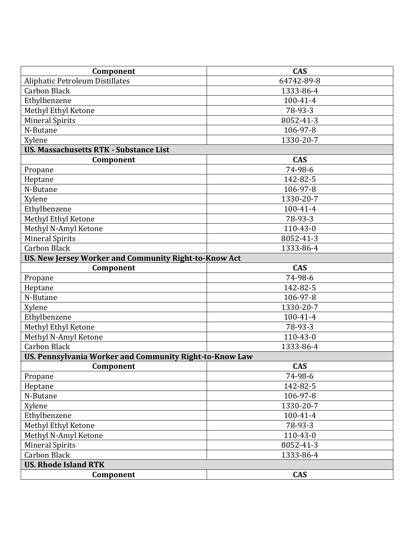| Component                                               | <b>CAS</b>     |  |  |
|---------------------------------------------------------|----------------|--|--|
| <b>Aliphatic Petroleum Distillates</b>                  | 64742-89-8     |  |  |
| <b>Carbon Black</b>                                     | 1333-86-4      |  |  |
| Ethylbenzene                                            | $100 - 41 - 4$ |  |  |
| Methyl Ethyl Ketone                                     | 78-93-3        |  |  |
| <b>Mineral Spirits</b>                                  | 8052-41-3      |  |  |
| N-Butane                                                | 106-97-8       |  |  |
| Xylene                                                  | 1330-20-7      |  |  |
| <b>US. Massachusetts RTK - Substance List</b>           |                |  |  |
| Component                                               | <b>CAS</b>     |  |  |
| Propane                                                 | 74-98-6        |  |  |
| Heptane                                                 | 142-82-5       |  |  |
| N-Butane                                                | 106-97-8       |  |  |
| Xylene                                                  | 1330-20-7      |  |  |
| Ethylbenzene                                            | 100-41-4       |  |  |
| Methyl Ethyl Ketone                                     | 78-93-3        |  |  |
| Methyl N-Amyl Ketone                                    | $110 - 43 - 0$ |  |  |
| <b>Mineral Spirits</b>                                  | 8052-41-3      |  |  |
| <b>Carbon Black</b>                                     | 1333-86-4      |  |  |
| US. New Jersey Worker and Community Right-to-Know Act   |                |  |  |
| Component                                               | <b>CAS</b>     |  |  |
| Propane                                                 | 74-98-6        |  |  |
| Heptane                                                 | 142-82-5       |  |  |
| N-Butane                                                | 106-97-8       |  |  |
| Xylene                                                  | 1330-20-7      |  |  |
| Ethylbenzene                                            | 100-41-4       |  |  |
| Methyl Ethyl Ketone                                     | 78-93-3        |  |  |
| Methyl N-Amyl Ketone                                    | $110 - 43 - 0$ |  |  |
| <b>Carbon Black</b>                                     | 1333-86-4      |  |  |
| US. Pennsylvania Worker and Community Right-to-Know Law |                |  |  |
| Component                                               | <b>CAS</b>     |  |  |
| Propane                                                 | 74-98-6        |  |  |
| Heptane                                                 | 142-82-5       |  |  |
| N-Butane                                                | 106-97-8       |  |  |
| Xylene                                                  | 1330-20-7      |  |  |
| Ethylbenzene                                            | 100-41-4       |  |  |
| Methyl Ethyl Ketone                                     | 78-93-3        |  |  |
| Methyl N-Amyl Ketone                                    | 110-43-0       |  |  |
| <b>Mineral Spirits</b>                                  | 8052-41-3      |  |  |
| <b>Carbon Black</b>                                     | 1333-86-4      |  |  |
| <b>US. Rhode Island RTK</b>                             |                |  |  |
| Component                                               | <b>CAS</b>     |  |  |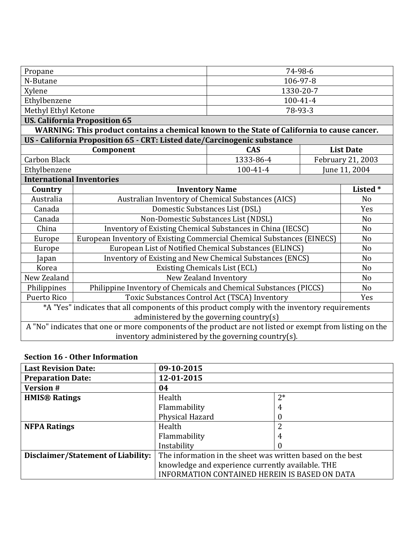| Propane                                                                                                  |                                                                                             | 74-98-6   |                |                   |
|----------------------------------------------------------------------------------------------------------|---------------------------------------------------------------------------------------------|-----------|----------------|-------------------|
| N-Butane                                                                                                 | 106-97-8                                                                                    |           |                |                   |
| Xylene                                                                                                   |                                                                                             | 1330-20-7 |                |                   |
| Ethylbenzene                                                                                             |                                                                                             |           | $100 - 41 - 4$ |                   |
| Methyl Ethyl Ketone                                                                                      |                                                                                             | 78-93-3   |                |                   |
|                                                                                                          | <b>US. California Proposition 65</b>                                                        |           |                |                   |
|                                                                                                          | WARNING: This product contains a chemical known to the State of California to cause cancer. |           |                |                   |
|                                                                                                          | US - California Proposition 65 - CRT: Listed date/Carcinogenic substance                    |           |                |                   |
|                                                                                                          | Component<br><b>CAS</b>                                                                     |           |                | <b>List Date</b>  |
| <b>Carbon Black</b>                                                                                      |                                                                                             | 1333-86-4 |                | February 21, 2003 |
| Ethylbenzene                                                                                             |                                                                                             | 100-41-4  |                | June 11, 2004     |
| <b>International Inventories</b>                                                                         |                                                                                             |           |                |                   |
| Country                                                                                                  | <b>Inventory Name</b>                                                                       |           | Listed*        |                   |
| Australia                                                                                                | Australian Inventory of Chemical Substances (AICS)                                          |           |                | N <sub>o</sub>    |
| Canada                                                                                                   | Domestic Substances List (DSL)                                                              |           | Yes            |                   |
| Canada                                                                                                   | Non-Domestic Substances List (NDSL)                                                         |           |                | N <sub>o</sub>    |
| China                                                                                                    | Inventory of Existing Chemical Substances in China (IECSC)                                  |           |                | N <sub>o</sub>    |
| Europe                                                                                                   | European Inventory of Existing Commercial Chemical Substances (EINECS)<br>N <sub>o</sub>    |           |                |                   |
| Europe                                                                                                   | European List of Notified Chemical Substances (ELINCS)<br>N <sub>o</sub>                    |           |                |                   |
| Japan                                                                                                    | Inventory of Existing and New Chemical Substances (ENCS)                                    |           |                | N <sub>o</sub>    |
| Korea                                                                                                    | Existing Chemicals List (ECL)                                                               |           |                | N <sub>o</sub>    |
| New Zealand                                                                                              | New Zealand Inventory                                                                       |           | N <sub>o</sub> |                   |
| Philippines                                                                                              | Philippine Inventory of Chemicals and Chemical Substances (PICCS)                           |           | N <sub>o</sub> |                   |
| Puerto Rico                                                                                              | Toxic Substances Control Act (TSCA) Inventory                                               |           |                | Yes               |
| *A "Yes" indicates that all components of this product comply with the inventory requirements            |                                                                                             |           |                |                   |
| administered by the governing country(s)                                                                 |                                                                                             |           |                |                   |
| A "No" indicates that one or more components of the product are not listed or exempt from listing on the |                                                                                             |           |                |                   |
| inventory administered by the governing country(s).                                                      |                                                                                             |           |                |                   |

#### **Section 16 - Other Information**

| <b>Last Revision Date:</b>         | 09-10-2015                                                 |          |
|------------------------------------|------------------------------------------------------------|----------|
| <b>Preparation Date:</b>           | 12-01-2015                                                 |          |
| <b>Version#</b>                    | 04                                                         |          |
| <b>HMIS® Ratings</b>               | Health                                                     | $2*$     |
|                                    | Flammability                                               | 4        |
|                                    | Physical Hazard<br>$\theta$                                |          |
| <b>NFPA Ratings</b>                | Health                                                     | 2        |
|                                    | Flammability                                               | 4        |
|                                    | Instability                                                | $\theta$ |
| Disclaimer/Statement of Liability: | The information in the sheet was written based on the best |          |
|                                    | knowledge and experience currently available. THE          |          |
|                                    | INFORMATION CONTAINED HEREIN IS BASED ON DATA              |          |